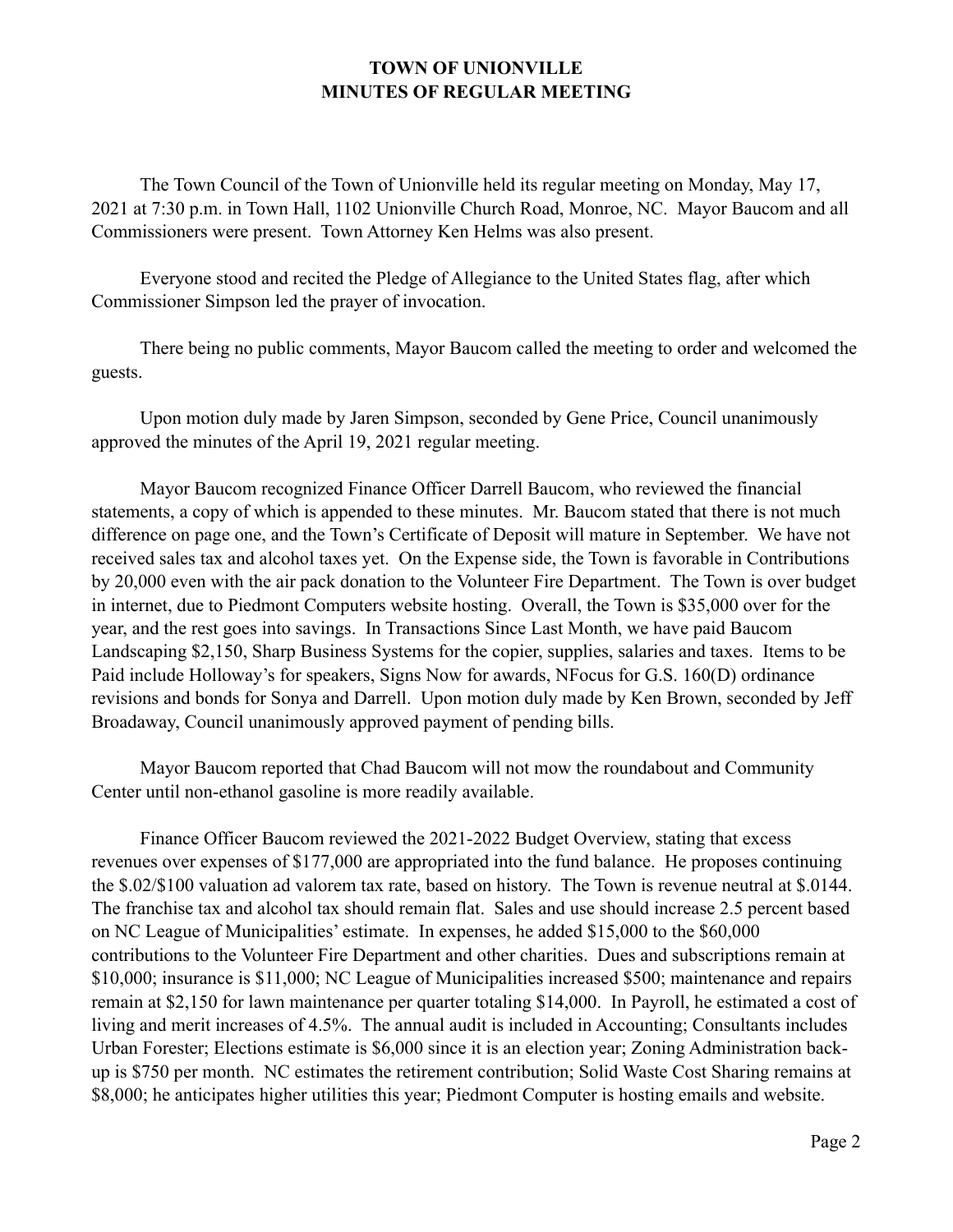## **TOWN OF UNIONVILLE MINUTES OF REGULAR MEETING**

 The Town Council of the Town of Unionville held its regular meeting on Monday, May 17, 2021 at 7:30 p.m. in Town Hall, 1102 Unionville Church Road, Monroe, NC. Mayor Baucom and all Commissioners were present. Town Attorney Ken Helms was also present.

 Everyone stood and recited the Pledge of Allegiance to the United States flag, after which Commissioner Simpson led the prayer of invocation.

 There being no public comments, Mayor Baucom called the meeting to order and welcomed the guests.

 Upon motion duly made by Jaren Simpson, seconded by Gene Price, Council unanimously approved the minutes of the April 19, 2021 regular meeting.

 Mayor Baucom recognized Finance Officer Darrell Baucom, who reviewed the financial statements, a copy of which is appended to these minutes. Mr. Baucom stated that there is not much difference on page one, and the Town's Certificate of Deposit will mature in September. We have not received sales tax and alcohol taxes yet. On the Expense side, the Town is favorable in Contributions by 20,000 even with the air pack donation to the Volunteer Fire Department. The Town is over budget in internet, due to Piedmont Computers website hosting. Overall, the Town is \$35,000 over for the year, and the rest goes into savings. In Transactions Since Last Month, we have paid Baucom Landscaping \$2,150, Sharp Business Systems for the copier, supplies, salaries and taxes. Items to be Paid include Holloway's for speakers, Signs Now for awards, NFocus for G.S. 160(D) ordinance revisions and bonds for Sonya and Darrell. Upon motion duly made by Ken Brown, seconded by Jeff Broadaway, Council unanimously approved payment of pending bills.

 Mayor Baucom reported that Chad Baucom will not mow the roundabout and Community Center until non-ethanol gasoline is more readily available.

 Finance Officer Baucom reviewed the 2021-2022 Budget Overview, stating that excess revenues over expenses of \$177,000 are appropriated into the fund balance. He proposes continuing the \$.02/\$100 valuation ad valorem tax rate, based on history. The Town is revenue neutral at \$.0144. The franchise tax and alcohol tax should remain flat. Sales and use should increase 2.5 percent based on NC League of Municipalities' estimate. In expenses, he added \$15,000 to the \$60,000 contributions to the Volunteer Fire Department and other charities. Dues and subscriptions remain at \$10,000; insurance is \$11,000; NC League of Municipalities increased \$500; maintenance and repairs remain at \$2,150 for lawn maintenance per quarter totaling \$14,000. In Payroll, he estimated a cost of living and merit increases of 4.5%. The annual audit is included in Accounting; Consultants includes Urban Forester; Elections estimate is \$6,000 since it is an election year; Zoning Administration backup is \$750 per month. NC estimates the retirement contribution; Solid Waste Cost Sharing remains at \$8,000; he anticipates higher utilities this year; Piedmont Computer is hosting emails and website.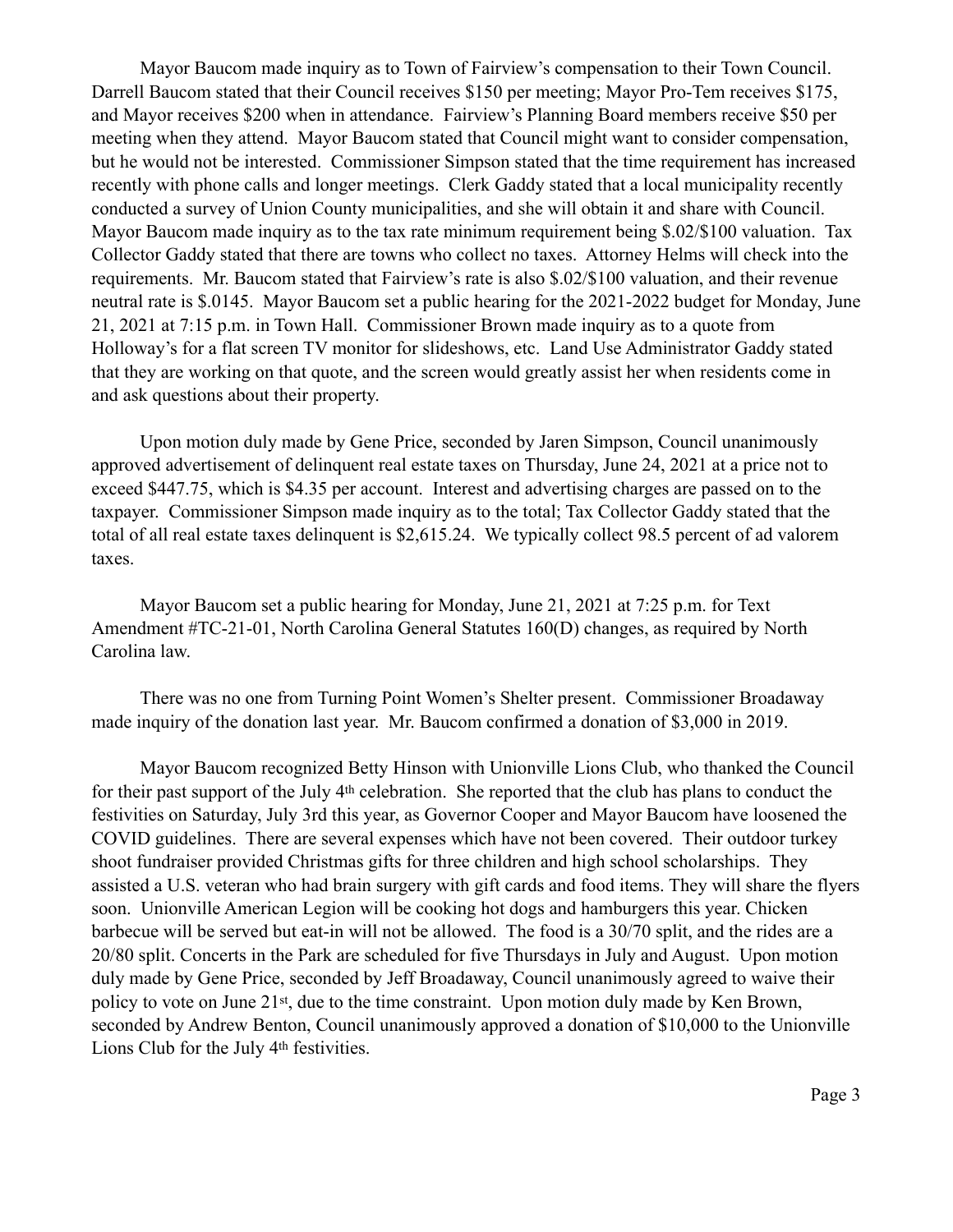Mayor Baucom made inquiry as to Town of Fairview's compensation to their Town Council. Darrell Baucom stated that their Council receives \$150 per meeting; Mayor Pro-Tem receives \$175, and Mayor receives \$200 when in attendance. Fairview's Planning Board members receive \$50 per meeting when they attend. Mayor Baucom stated that Council might want to consider compensation, but he would not be interested. Commissioner Simpson stated that the time requirement has increased recently with phone calls and longer meetings. Clerk Gaddy stated that a local municipality recently conducted a survey of Union County municipalities, and she will obtain it and share with Council. Mayor Baucom made inquiry as to the tax rate minimum requirement being \$.02/\$100 valuation. Tax Collector Gaddy stated that there are towns who collect no taxes. Attorney Helms will check into the requirements. Mr. Baucom stated that Fairview's rate is also \$.02/\$100 valuation, and their revenue neutral rate is \$.0145. Mayor Baucom set a public hearing for the 2021-2022 budget for Monday, June 21, 2021 at 7:15 p.m. in Town Hall. Commissioner Brown made inquiry as to a quote from Holloway's for a flat screen TV monitor for slideshows, etc. Land Use Administrator Gaddy stated that they are working on that quote, and the screen would greatly assist her when residents come in and ask questions about their property.

 Upon motion duly made by Gene Price, seconded by Jaren Simpson, Council unanimously approved advertisement of delinquent real estate taxes on Thursday, June 24, 2021 at a price not to exceed \$447.75, which is \$4.35 per account. Interest and advertising charges are passed on to the taxpayer. Commissioner Simpson made inquiry as to the total; Tax Collector Gaddy stated that the total of all real estate taxes delinquent is \$2,615.24. We typically collect 98.5 percent of ad valorem taxes.

 Mayor Baucom set a public hearing for Monday, June 21, 2021 at 7:25 p.m. for Text Amendment #TC-21-01, North Carolina General Statutes 160(D) changes, as required by North Carolina law.

 There was no one from Turning Point Women's Shelter present. Commissioner Broadaway made inquiry of the donation last year. Mr. Baucom confirmed a donation of \$3,000 in 2019.

 Mayor Baucom recognized Betty Hinson with Unionville Lions Club, who thanked the Council for their past support of the July 4th celebration. She reported that the club has plans to conduct the festivities on Saturday, July 3rd this year, as Governor Cooper and Mayor Baucom have loosened the COVID guidelines. There are several expenses which have not been covered. Their outdoor turkey shoot fundraiser provided Christmas gifts for three children and high school scholarships. They assisted a U.S. veteran who had brain surgery with gift cards and food items. They will share the flyers soon. Unionville American Legion will be cooking hot dogs and hamburgers this year. Chicken barbecue will be served but eat-in will not be allowed. The food is a 30/70 split, and the rides are a 20/80 split. Concerts in the Park are scheduled for five Thursdays in July and August. Upon motion duly made by Gene Price, seconded by Jeff Broadaway, Council unanimously agreed to waive their policy to vote on June 21st, due to the time constraint. Upon motion duly made by Ken Brown, seconded by Andrew Benton, Council unanimously approved a donation of \$10,000 to the Unionville Lions Club for the July 4th festivities.